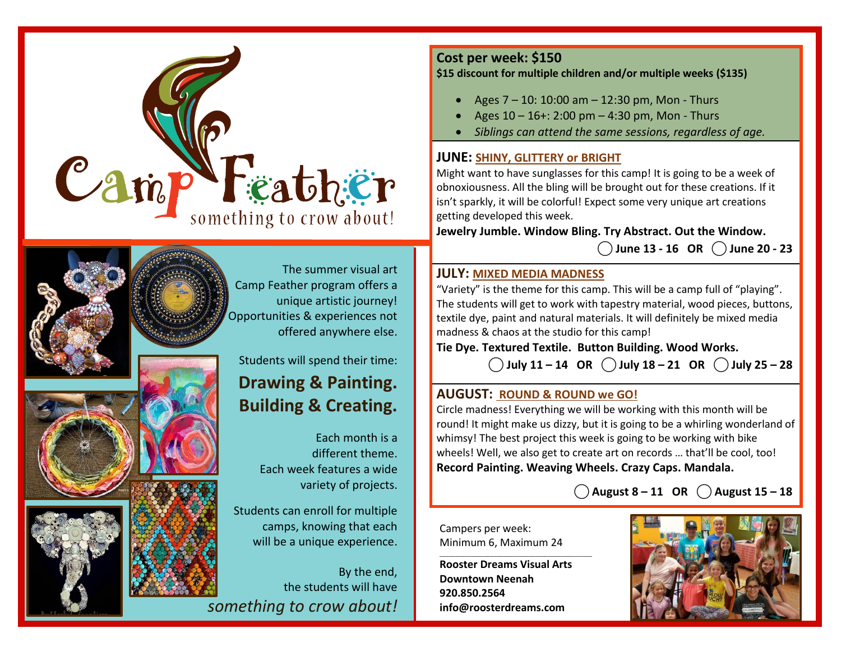









The summer visual art Camp Feather program offers a unique artistic journey! Opportunities & experiences not offered anywhere else.

Students will spend their time:

## **Drawing & Painting. Building & Creating.**

Each month is a different theme. Each week features a wide variety of projects.

Students can enroll for multiple camps, knowing that each will be a unique experience.

By the end, the students will have *something to crow about!*

#### **Cost per week: \$150**

#### **\$15 discount for multiple children and/or multiple weeks (\$135)**

- Ages 7 10: 10:00 am 12:30 pm, Mon Thurs
- Ages 10 16+: 2:00 pm 4:30 pm, Mon Thurs
- *Siblings can attend the same sessions, regardless of age.*

#### **JUNE: SHINY, GLITTERY or BRIGHT**

Might want to have sunglasses for this camp! It is going to be a week of obnoxiousness. All the bling will be brought out for these creations. If it isn't sparkly, it will be colorful! Expect some very unique art creations getting developed this week.

**Jewelry Jumble. Window Bling. Try Abstract. Out the Window.**

**⃝ June 13 - 16 OR ⃝ June 20 - 23**

#### **JULY: MIXED MEDIA MADNESS**

"Variety" is the theme for this camp. This will be a camp full of "playing". The students will get to work with tapestry material, wood pieces, buttons, textile dye, paint and natural materials. It will definitely be mixed media madness & chaos at the studio for this camp!

**Tie Dye. Textured Textile. Button Building. Wood Works.** 

**⃝ July 11 – 14 OR ⃝ July 18 – 21 OR ⃝ July 25 – 28**

#### **AUGUST: ROUND & ROUND we GO!**

Circle madness! Everything we will be working with this month will be round! It might make us dizzy, but it is going to be a whirling wonderland of whimsy! The best project this week is going to be working with bike wheels! Well, we also get to create art on records … that'll be cool, too! **Record Painting. Weaving Wheels. Crazy Caps. Mandala.**

**⃝ August 8 – 11 OR ⃝ August 15 – 18** 

Campers per week: Minimum 6, Maximum 24

**Rooster Dreams Visual Arts Downtown Neenah 920.850.2564 info@roosterdreams.com**

\_\_\_\_\_\_\_\_\_\_\_\_\_\_\_\_\_\_\_\_\_\_\_\_\_\_\_\_\_\_\_\_\_\_\_\_\_\_\_\_\_\_\_\_\_\_\_\_